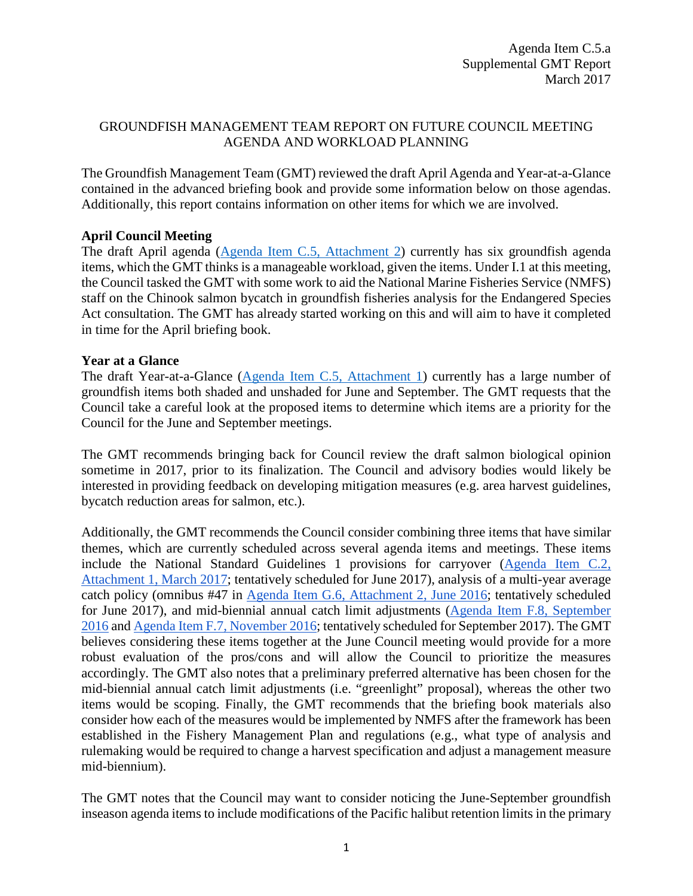# GROUNDFISH MANAGEMENT TEAM REPORT ON FUTURE COUNCIL MEETING AGENDA AND WORKLOAD PLANNING

The Groundfish Management Team (GMT) reviewed the draft April Agenda and Year-at-a-Glance contained in the advanced briefing book and provide some information below on those agendas. Additionally, this report contains information on other items for which we are involved.

# **April Council Meeting**

The draft April agenda [\(Agenda Item C.5,](http://www.pcouncil.org/wp-content/uploads/2017/02/C5_Att2_Apr17QR_Mar2017BB.pdf) Attachment 2) currently has six groundfish agenda items, which the GMT thinks is a manageable workload, given the items. Under I.1 at this meeting, the Council tasked the GMT with some work to aid the National Marine Fisheries Service (NMFS) staff on the Chinook salmon bycatch in groundfish fisheries analysis for the Endangered Species Act consultation. The GMT has already started working on this and will aim to have it completed in time for the April briefing book.

### **Year at a Glance**

The draft Year-at-a-Glance [\(Agenda Item C.5,](http://www.pcouncil.org/wp-content/uploads/2017/02/C5_Att1_YAG_Mar2017BB.pdf) Attachment 1) currently has a large number of groundfish items both shaded and unshaded for June and September. The GMT requests that the Council take a careful look at the proposed items to determine which items are a priority for the Council for the June and September meetings.

The GMT recommends bringing back for Council review the draft salmon biological opinion sometime in 2017, prior to its finalization. The Council and advisory bodies would likely be interested in providing feedback on developing mitigation measures (e.g. area harvest guidelines, bycatch reduction areas for salmon, etc.).

Additionally, the GMT recommends the Council consider combining three items that have similar themes, which are currently scheduled across several agenda items and meetings. These items include the National Standard Guidelines 1 provisions for carryover [\(Agenda Item C.2,](http://www.pcouncil.org/wp-content/uploads/2017/02/C2_Att1_Considerations_for_Carryover_Provisions_Mar2017BB.pdf)  [Attachment 1, March 2017;](http://www.pcouncil.org/wp-content/uploads/2017/02/C2_Att1_Considerations_for_Carryover_Provisions_Mar2017BB.pdf) tentatively scheduled for June 2017), analysis of a multi-year average catch policy (omnibus #47 in [Agenda Item G.6, Attachment 2, June 2016;](http://www.pcouncil.org/wp-content/uploads/2016/06/G6_Att2_List_MM_for_Consideration_Final_JUN2016BB.pdf) tentatively scheduled for June 2017), and mid-biennial annual catch limit adjustments [\(Agenda Item F.8, September](http://www.pcouncil.org/wp-content/uploads/2016/09/0916decisions.pdf)  [2016](http://www.pcouncil.org/wp-content/uploads/2016/09/0916decisions.pdf) and Agenda Item [F.7, November 2016;](http://www.pcouncil.org/wp-content/uploads/2016/11/November2016FINALDecisionSummaryDocument.pdf) tentatively scheduled for September 2017). The GMT believes considering these items together at the June Council meeting would provide for a more robust evaluation of the pros/cons and will allow the Council to prioritize the measures accordingly. The GMT also notes that a preliminary preferred alternative has been chosen for the mid-biennial annual catch limit adjustments (i.e. "greenlight" proposal), whereas the other two items would be scoping. Finally, the GMT recommends that the briefing book materials also consider how each of the measures would be implemented by NMFS after the framework has been established in the Fishery Management Plan and regulations (e.g., what type of analysis and rulemaking would be required to change a harvest specification and adjust a management measure mid-biennium).

The GMT notes that the Council may want to consider noticing the June-September groundfish inseason agenda items to include modifications of the Pacific halibut retention limits in the primary